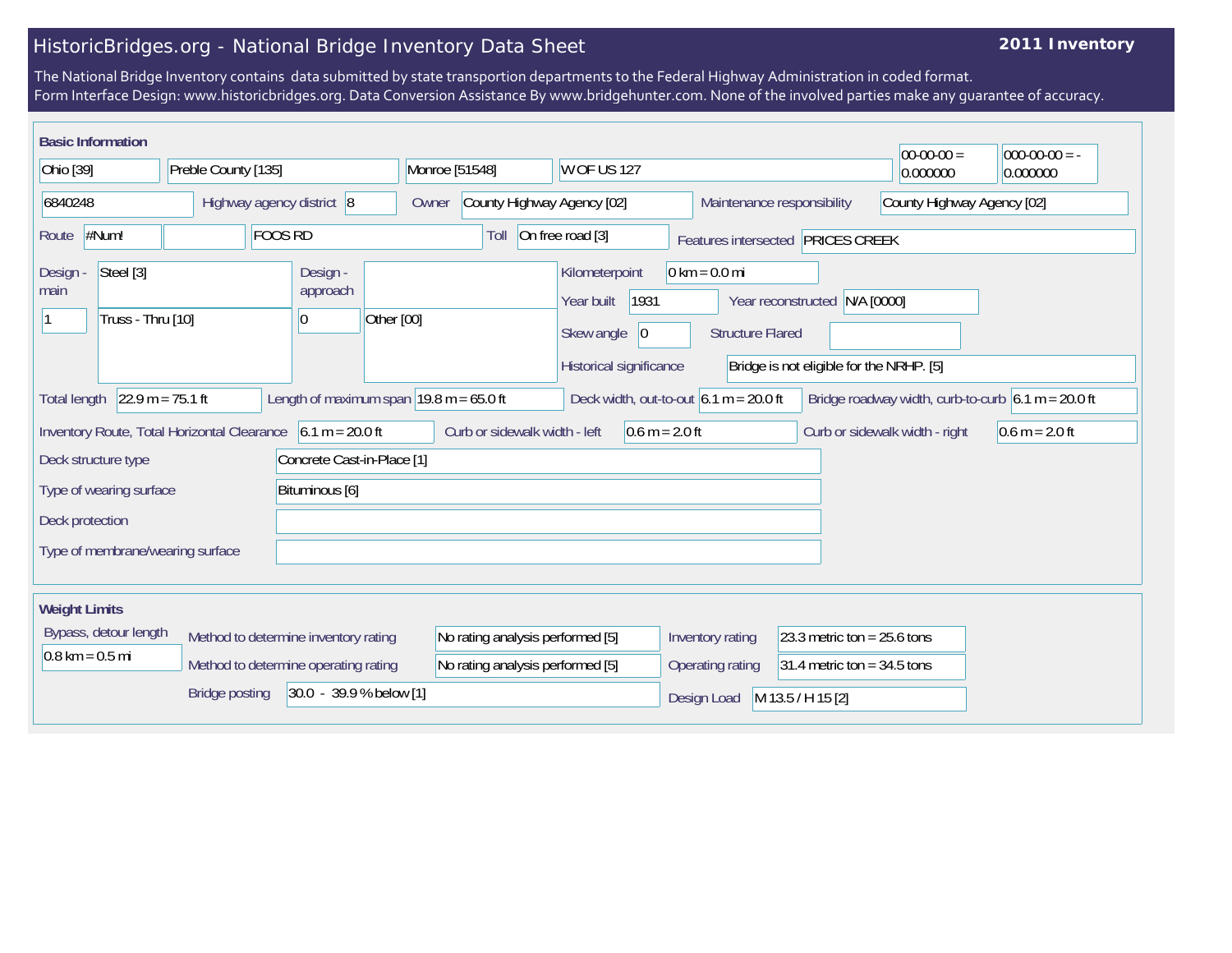## HistoricBridges.org - National Bridge Inventory Data Sheet

## **2011 Inventory**

The National Bridge Inventory contains data submitted by state transportion departments to the Federal Highway Administration in coded format. Form Interface Design: www.historicbridges.org. Data Conversion Assistance By www.bridgehunter.com. None of the involved parties make any guarantee of accuracy.

|                                                               | <b>Basic Information</b>                                                                                                                                                                                     |                           |                                      |                               |                                  |                                                                                              |                                                            |                                                                | $00-00-00 =$     | $ 000-00-00 $ = -          |  |
|---------------------------------------------------------------|--------------------------------------------------------------------------------------------------------------------------------------------------------------------------------------------------------------|---------------------------|--------------------------------------|-------------------------------|----------------------------------|----------------------------------------------------------------------------------------------|------------------------------------------------------------|----------------------------------------------------------------|------------------|----------------------------|--|
| Ohio [39]                                                     |                                                                                                                                                                                                              | Preble County [135]       |                                      | Monroe [51548]                |                                  | W OF US 127                                                                                  |                                                            |                                                                | 0.000000         | 0.000000                   |  |
| 6840248                                                       |                                                                                                                                                                                                              | Highway agency district 8 |                                      | Owner                         | County Highway Agency [02]       |                                                                                              | Maintenance responsibility                                 |                                                                |                  | County Highway Agency [02] |  |
| <b>FOOS RD</b><br>#Num!<br>Route                              |                                                                                                                                                                                                              |                           |                                      | Toll                          | On free road [3]                 | Features intersected PRICES CREEK                                                            |                                                            |                                                                |                  |                            |  |
| Design -<br>main                                              | Steel [3]<br>Truss - Thru [10]                                                                                                                                                                               |                           | Design -<br>approach<br> 0           | Other [00]                    |                                  | Kilometerpoint<br>1931<br>Year built<br>Skew angle<br>$ 0\rangle$<br>Historical significance | $0 \text{ km} = 0.0 \text{ mi}$<br><b>Structure Flared</b> | Year reconstructed<br>Bridge is not eligible for the NRHP. [5] | N/A [0000]       |                            |  |
|                                                               | $22.9 m = 75.1 ft$<br>Length of maximum span $ 19.8 \text{ m} = 65.0 \text{ ft} $<br>Bridge roadway width, curb-to-curb $6.1 m = 20.0 ft$<br>Deck width, out-to-out $6.1 m = 20.0 ft$<br><b>Total length</b> |                           |                                      |                               |                                  |                                                                                              |                                                            |                                                                |                  |                            |  |
| Inventory Route, Total Horizontal Clearance $6.1 m = 20.0 ft$ |                                                                                                                                                                                                              |                           |                                      | Curb or sidewalk width - left | $0.6 m = 2.0 ft$                 |                                                                                              |                                                            | Curb or sidewalk width - right                                 | $0.6 m = 2.0 ft$ |                            |  |
|                                                               | Deck structure type                                                                                                                                                                                          |                           | Concrete Cast-in-Place [1]           |                               |                                  |                                                                                              |                                                            |                                                                |                  |                            |  |
|                                                               | Type of wearing surface                                                                                                                                                                                      |                           | Bituminous [6]                       |                               |                                  |                                                                                              |                                                            |                                                                |                  |                            |  |
| Deck protection                                               |                                                                                                                                                                                                              |                           |                                      |                               |                                  |                                                                                              |                                                            |                                                                |                  |                            |  |
|                                                               | Type of membrane/wearing surface                                                                                                                                                                             |                           |                                      |                               |                                  |                                                                                              |                                                            |                                                                |                  |                            |  |
| <b>Weight Limits</b>                                          |                                                                                                                                                                                                              |                           |                                      |                               |                                  |                                                                                              |                                                            |                                                                |                  |                            |  |
|                                                               | Bypass, detour length                                                                                                                                                                                        |                           | Method to determine inventory rating |                               | No rating analysis performed [5] |                                                                                              | Inventory rating                                           | 23.3 metric ton = $25.6$ tons                                  |                  |                            |  |
| $0.8 \text{ km} = 0.5 \text{ mi}$                             |                                                                                                                                                                                                              |                           | Method to determine operating rating |                               | No rating analysis performed [5] |                                                                                              | Operating rating                                           | 31.4 metric ton = $34.5$ tons                                  |                  |                            |  |
|                                                               |                                                                                                                                                                                                              | <b>Bridge posting</b>     | 30.0 - 39.9 % below [1]              |                               |                                  |                                                                                              | Design Load                                                | M 13.5 / H 15 [2]                                              |                  |                            |  |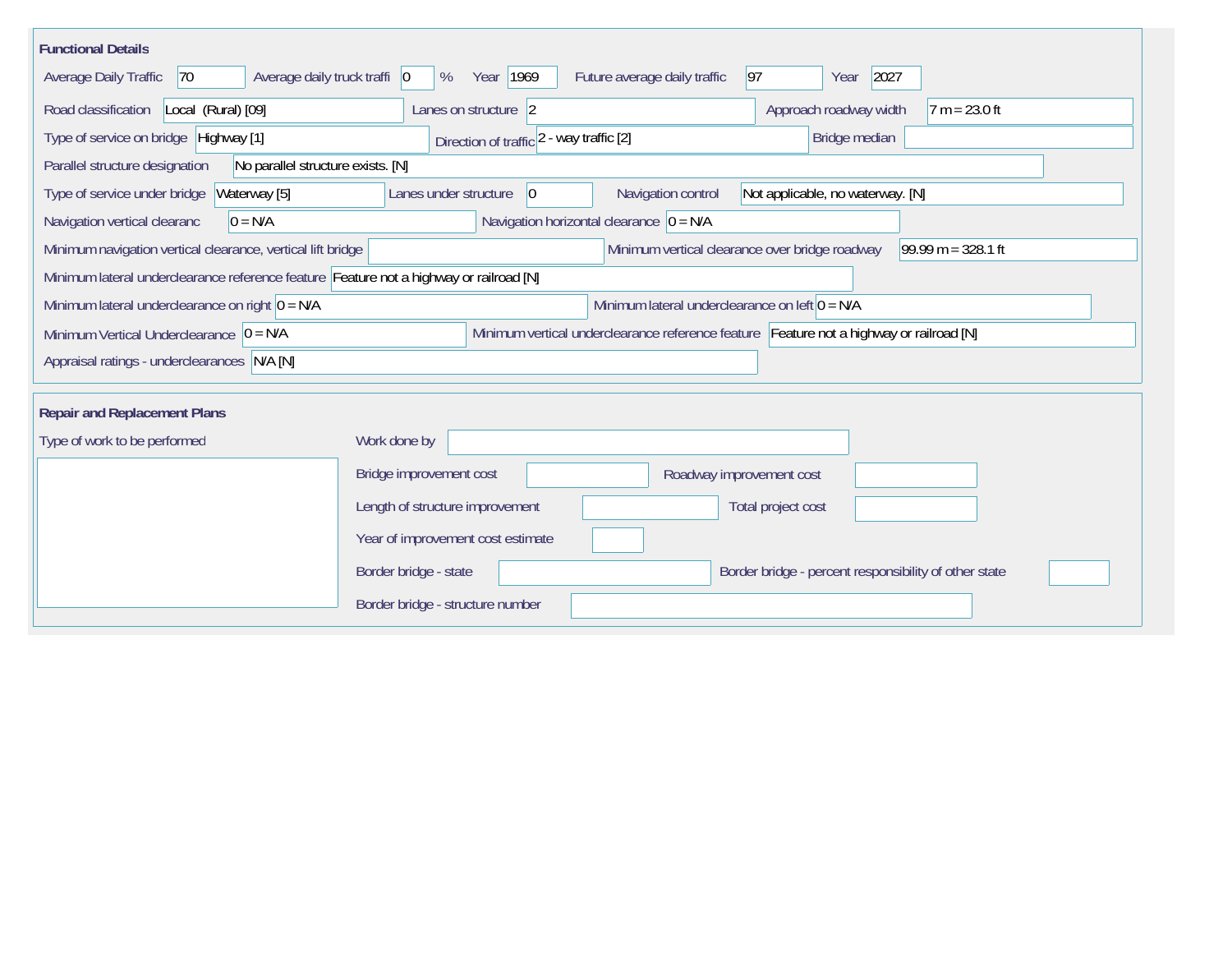| <b>Functional Details</b>                                                              |                                                                                                |
|----------------------------------------------------------------------------------------|------------------------------------------------------------------------------------------------|
| Average daily truck traffi   0<br>Average Daily Traffic<br> 70                         | 2027<br>Year 1969<br>Future average daily traffic<br> 97 <br>%<br>Year                         |
| Road classification<br>Local (Rural) [09]                                              | Approach roadway width<br>Lanes on structure 2<br>$7 m = 23.0 ft$                              |
| Type of service on bridge Highway [1]                                                  | Bridge median<br>Direction of traffic 2 - way traffic [2]                                      |
| No parallel structure exists. [N]<br>Parallel structure designation                    |                                                                                                |
| Type of service under bridge<br>Waterway [5]                                           | Navigation control<br>Lanes under structure<br>$ 0\rangle$<br>Not applicable, no waterway. [N] |
| Navigation vertical clearanc<br>$0 = N/A$                                              | Navigation horizontal clearance $ 0 = N/A $                                                    |
| Minimum navigation vertical clearance, vertical lift bridge                            | Minimum vertical clearance over bridge roadway<br>$99.99 m = 328.1 ft$                         |
| Minimum lateral underclearance reference feature Feature not a highway or railroad [N] |                                                                                                |
| Minimum lateral underclearance on right $0 = N/A$                                      | Minimum lateral underclearance on left $0 = N/A$                                               |
| Minimum Vertical Underclearance $ 0 = N/A$                                             | Minimum vertical underclearance reference feature Feature not a highway or railroad [N]        |
| Appraisal ratings - underclearances N/A [N]                                            |                                                                                                |
|                                                                                        |                                                                                                |
| <b>Repair and Replacement Plans</b>                                                    |                                                                                                |
| Type of work to be performed                                                           | Work done by                                                                                   |
|                                                                                        | Bridge improvement cost<br>Roadway improvement cost                                            |
|                                                                                        | Length of structure improvement<br>Total project cost                                          |
|                                                                                        | Year of improvement cost estimate                                                              |
|                                                                                        | Border bridge - state<br>Border bridge - percent responsibility of other state                 |
|                                                                                        | Border bridge - structure number                                                               |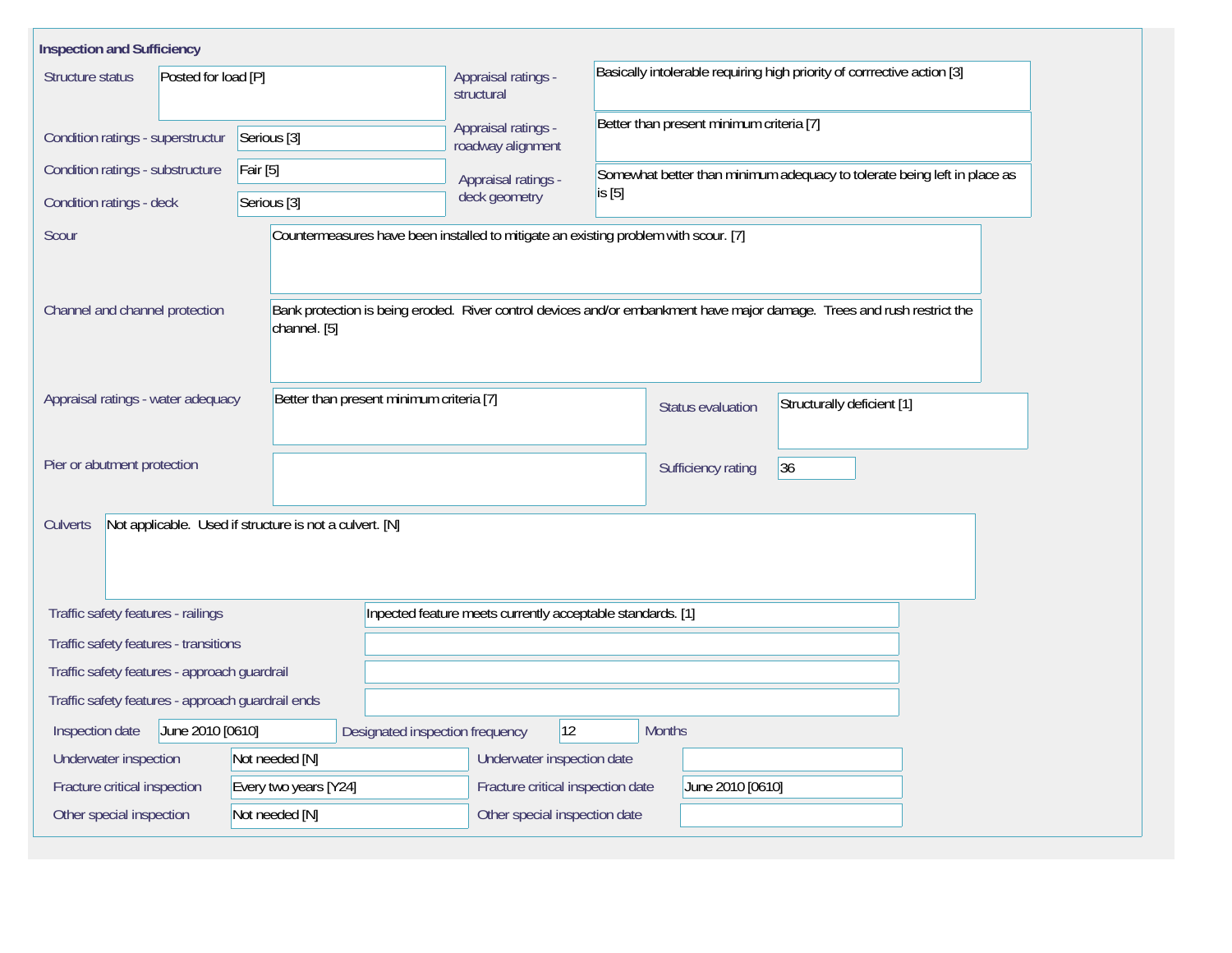| <b>Inspection and Sufficiency</b>                                              |                                                         |                                                                                     |                                                                                                                         |  |  |  |  |
|--------------------------------------------------------------------------------|---------------------------------------------------------|-------------------------------------------------------------------------------------|-------------------------------------------------------------------------------------------------------------------------|--|--|--|--|
| Posted for load [P]<br>Structure status                                        |                                                         | Appraisal ratings -<br>structural                                                   | Basically intolerable requiring high priority of corrrective action [3]                                                 |  |  |  |  |
| Condition ratings - superstructur<br>Serious <sup>[3]</sup>                    |                                                         | Appraisal ratings -<br>roadway alignment                                            | Better than present minimum criteria [7]                                                                                |  |  |  |  |
| Condition ratings - substructure<br>Fair [5]                                   |                                                         | Appraisal ratings -                                                                 | Somewhat better than minimum adequacy to tolerate being left in place as                                                |  |  |  |  |
| Condition ratings - deck<br>Serious [3]                                        |                                                         | deck geometry                                                                       | is [5]                                                                                                                  |  |  |  |  |
| Scour                                                                          |                                                         | Countermeasures have been installed to mitigate an existing problem with scour. [7] |                                                                                                                         |  |  |  |  |
| Channel and channel protection                                                 | channel. [5]                                            |                                                                                     | Bank protection is being eroded. River control devices and/or embankment have major damage. Trees and rush restrict the |  |  |  |  |
| Better than present minimum criteria [7]<br>Appraisal ratings - water adequacy |                                                         |                                                                                     | Structurally deficient [1]<br>Status evaluation                                                                         |  |  |  |  |
| Pier or abutment protection                                                    |                                                         |                                                                                     | 36<br>Sufficiency rating                                                                                                |  |  |  |  |
| <b>Culverts</b>                                                                | Not applicable. Used if structure is not a culvert. [N] |                                                                                     |                                                                                                                         |  |  |  |  |
| Traffic safety features - railings                                             |                                                         |                                                                                     | Inpected feature meets currently acceptable standards. [1]                                                              |  |  |  |  |
| Traffic safety features - transitions                                          |                                                         |                                                                                     |                                                                                                                         |  |  |  |  |
| Traffic safety features - approach guardrail                                   |                                                         |                                                                                     |                                                                                                                         |  |  |  |  |
| Traffic safety features - approach guardrail ends                              |                                                         |                                                                                     |                                                                                                                         |  |  |  |  |
| June 2010 [0610]<br>Inspection date                                            |                                                         | $ 12\rangle$<br>Designated inspection frequency                                     | <b>Months</b>                                                                                                           |  |  |  |  |
| Underwater inspection                                                          | Not needed [N]                                          | Underwater inspection date                                                          |                                                                                                                         |  |  |  |  |
| Fracture critical inspection                                                   | Every two years [Y24]                                   | Fracture critical inspection date                                                   | June 2010 [0610]                                                                                                        |  |  |  |  |
| Other special inspection                                                       | Not needed [N]                                          | Other special inspection date                                                       |                                                                                                                         |  |  |  |  |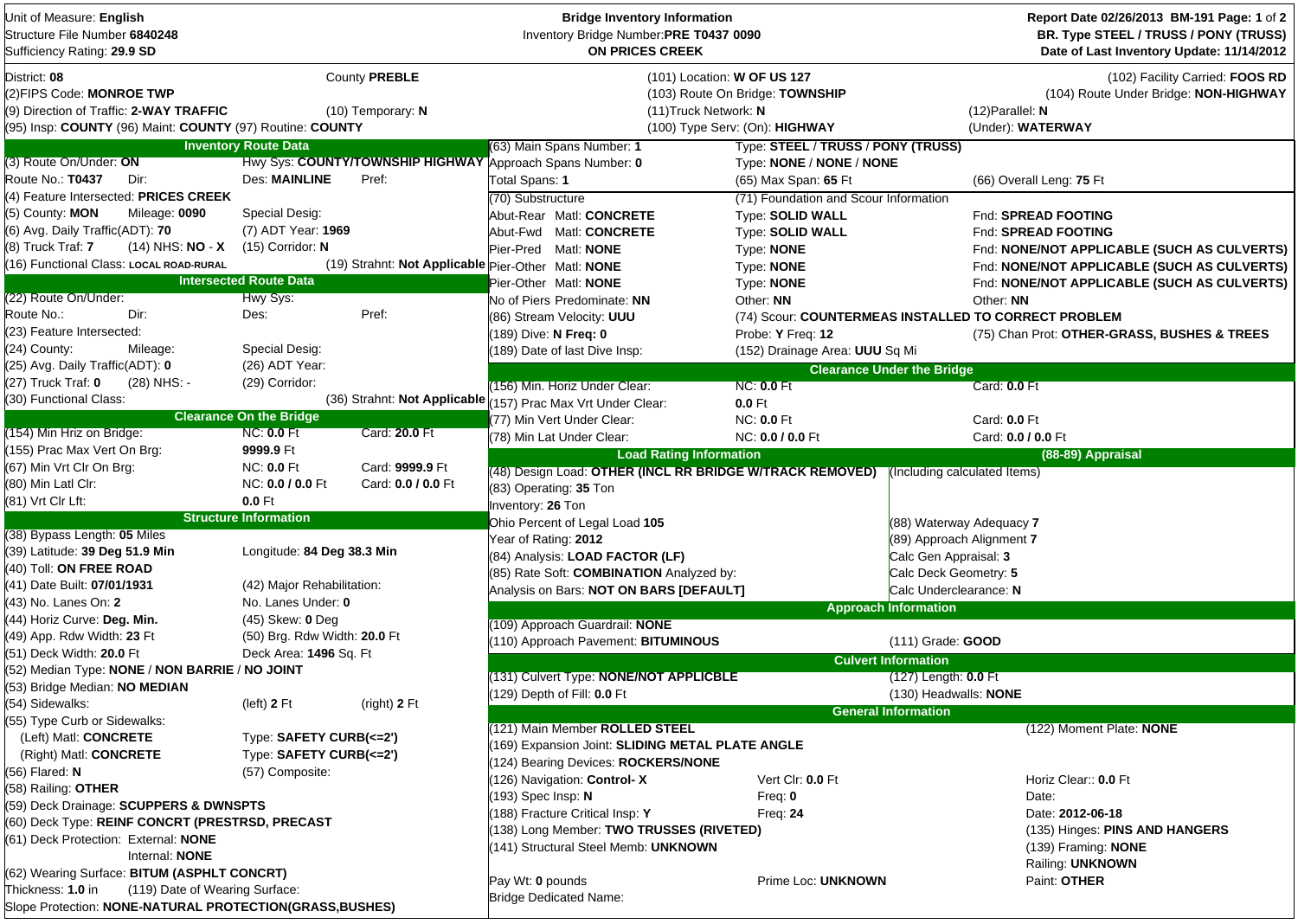| Unit of Measure: English<br>Structure File Number 6840248<br>Sufficiency Rating: 29.9 SD |                                |                                    | <b>Bridge Inventory Information</b><br>Inventory Bridge Number:PRE T0437 0090<br><b>ON PRICES CREEK</b> |                                                      | Report Date 02/26/2013 BM-191 Page: 1 of 2<br>BR. Type STEEL / TRUSS / PONY (TRUSS)<br>Date of Last Inventory Update: 11/14/2012 |                                                                          |
|------------------------------------------------------------------------------------------|--------------------------------|------------------------------------|---------------------------------------------------------------------------------------------------------|------------------------------------------------------|----------------------------------------------------------------------------------------------------------------------------------|--------------------------------------------------------------------------|
| District: 08<br>(2)FIPS Code: MONROE TWP<br>(9) Direction of Traffic: 2-WAY TRAFFIC      |                                | County PREBLE<br>(10) Temporary: N | (101) Location: W OF US 127<br>(11) Truck Network: N                                                    | (103) Route On Bridge: TOWNSHIP                      | $(12)$ Parallel: N                                                                                                               | (102) Facility Carried: FOOS RD<br>(104) Route Under Bridge: NON-HIGHWAY |
| (95) Insp: COUNTY (96) Maint: COUNTY (97) Routine: COUNTY                                |                                |                                    |                                                                                                         | (100) Type Serv: (On): HIGHWAY                       |                                                                                                                                  | (Under): WATERWAY                                                        |
|                                                                                          | <b>Inventory Route Data</b>    |                                    | (63) Main Spans Number: 1                                                                               | Type: STEEL / TRUSS / PONY (TRUSS)                   |                                                                                                                                  |                                                                          |
| (3) Route On/Under: ON                                                                   |                                |                                    | Hwy Sys: COUNTY/TOWNSHIP HIGHWAY Approach Spans Number: 0                                               | Type: NONE / NONE / NONE                             |                                                                                                                                  |                                                                          |
| Route No.: T0437<br>Dir:                                                                 | <b>Des: MAINLINE</b>           | Pref:                              | Total Spans: 1                                                                                          | (65) Max Span: 65 Ft                                 |                                                                                                                                  | (66) Overall Leng: 75 Ft                                                 |
| (4) Feature Intersected: PRICES CREEK                                                    |                                |                                    | (70) Substructure                                                                                       | (71) Foundation and Scour Information                |                                                                                                                                  |                                                                          |
| (5) County: MON<br>Mileage: 0090                                                         | Special Desig:                 |                                    | Abut-Rear Matl: CONCRETE                                                                                | <b>Type: SOLID WALL</b>                              |                                                                                                                                  | Fnd: SPREAD FOOTING                                                      |
| (6) Avg. Daily Traffic(ADT): 70                                                          | (7) ADT Year: 1969             |                                    | Abut-Fwd Matl: CONCRETE                                                                                 | <b>Type: SOLID WALL</b>                              |                                                                                                                                  | Fnd: SPREAD FOOTING                                                      |
| $(14)$ NHS: <b>NO</b> - <b>X</b><br>(8) Truck Traf: 7                                    | $(15)$ Corridor: N             |                                    | Pier-Pred Matl: NONE                                                                                    | Type: NONE                                           |                                                                                                                                  | Fnd: NONE/NOT APPLICABLE (SUCH AS CULVERTS)                              |
| (16) Functional Class: LOCAL ROAD-RURAL                                                  |                                |                                    | (19) Strahnt: Not Applicable Pier-Other Matl: NONE                                                      | Type: NONE                                           |                                                                                                                                  | Fnd: NONE/NOT APPLICABLE (SUCH AS CULVERTS)                              |
|                                                                                          | <b>Intersected Route Data</b>  |                                    | Pier-Other Matl: NONE                                                                                   | Type: NONE                                           |                                                                                                                                  | Fnd: NONE/NOT APPLICABLE (SUCH AS CULVERTS)                              |
| (22) Route On/Under:                                                                     | Hwy Sys:                       |                                    | No of Piers Predominate: NN                                                                             | Other: NN                                            | Other: NN                                                                                                                        |                                                                          |
| Route No.:<br>Dir:                                                                       | Des:                           | Pref:                              | (86) Stream Velocity: UUU                                                                               | (74) Scour: COUNTERMEAS INSTALLED TO CORRECT PROBLEM |                                                                                                                                  |                                                                          |
| (23) Feature Intersected:                                                                |                                |                                    | (189) Dive: N Freq: 0                                                                                   | Probe: Y Freq: 12                                    |                                                                                                                                  | (75) Chan Prot: OTHER-GRASS, BUSHES & TREES                              |
| (24) County:<br>Mileage:                                                                 | Special Desig:                 |                                    | 189) Date of last Dive Insp:                                                                            | (152) Drainage Area: UUU Sq Mi                       |                                                                                                                                  |                                                                          |
| (25) Avg. Daily Traffic(ADT): 0                                                          | (26) ADT Year:                 |                                    |                                                                                                         |                                                      | <b>Clearance Under the Bridge</b>                                                                                                |                                                                          |
| (27) Truck Traf: 0<br>(28) NHS: -                                                        | (29) Corridor:                 |                                    | (156) Min. Horiz Under Clear:                                                                           | <b>NC: 0.0 Ft</b>                                    | Card: 0.0 Ft                                                                                                                     |                                                                          |
| (30) Functional Class:                                                                   |                                |                                    | (36) Strahnt: Not Applicable (157) Prac Max Vrt Under Clear:                                            | 0.0 Ft                                               |                                                                                                                                  |                                                                          |
|                                                                                          | <b>Clearance On the Bridge</b> |                                    | (77) Min Vert Under Clear:                                                                              | <b>NC: 0.0 Ft</b>                                    | Card: 0.0 Ft                                                                                                                     |                                                                          |
| (154) Min Hriz on Bridge:                                                                | <b>NC: 0.0 Ft</b>              | Card: 20.0 Ft                      | (78) Min Lat Under Clear:                                                                               | NC: 0.0 / 0.0 Ft                                     |                                                                                                                                  | Card: 0.0 / 0.0 Ft                                                       |
| (155) Prac Max Vert On Brg:                                                              | 9999.9 Ft                      |                                    | <b>Load Rating Information</b>                                                                          |                                                      |                                                                                                                                  | (88-89) Appraisal                                                        |
| (67) Min Vrt Clr On Brg:                                                                 | <b>NC: 0.0 Ft</b>              | Card: 9999.9 Ft                    | (48) Design Load: OTHER (INCL RR BRIDGE W/TRACK REMOVED) (Including calculated Items)                   |                                                      |                                                                                                                                  |                                                                          |
| (80) Min Latl Clr:                                                                       | NC: 0.0 / 0.0 Ft               | Card: 0.0 / 0.0 Ft                 | (83) Operating: 35 Ton                                                                                  |                                                      |                                                                                                                                  |                                                                          |
| (81) Vrt Clr Lft:                                                                        | 0.0 Ft                         |                                    | Inventory: 26 Ton                                                                                       |                                                      |                                                                                                                                  |                                                                          |
|                                                                                          | <b>Structure Information</b>   |                                    | Ohio Percent of Legal Load 105                                                                          |                                                      | (88) Waterway Adequacy 7                                                                                                         |                                                                          |
| (38) Bypass Length: 05 Miles                                                             |                                |                                    | Year of Rating: 2012                                                                                    |                                                      | (89) Approach Alignment 7                                                                                                        |                                                                          |
| (39) Latitude: 39 Deg 51.9 Min                                                           | Longitude: 84 Deg 38.3 Min     |                                    | (84) Analysis: LOAD FACTOR (LF)                                                                         |                                                      | Calc Gen Appraisal: 3                                                                                                            |                                                                          |
| (40) Toll: ON FREE ROAD                                                                  |                                |                                    | (85) Rate Soft: COMBINATION Analyzed by:                                                                |                                                      | Calc Deck Geometry: 5                                                                                                            |                                                                          |
| (41) Date Built: 07/01/1931                                                              | (42) Major Rehabilitation:     |                                    | Analysis on Bars: NOT ON BARS [DEFAULT]                                                                 |                                                      | Calc Underclearance: N                                                                                                           |                                                                          |
| (43) No. Lanes On: <b>2</b>                                                              | No. Lanes Under: 0             |                                    |                                                                                                         |                                                      | <b>Approach Information</b>                                                                                                      |                                                                          |
| (44) Horiz Curve: Deg. Min.                                                              | $(45)$ Skew: 0 Deg             |                                    | (109) Approach Guardrail: NONE                                                                          |                                                      |                                                                                                                                  |                                                                          |
| (49) App. Rdw Width: 23 Ft                                                               | (50) Brg. Rdw Width: 20.0 Ft   |                                    | (110) Approach Pavement: BITUMINOUS                                                                     |                                                      | (111) Grade: GOOD                                                                                                                |                                                                          |
| (51) Deck Width: 20.0 Ft                                                                 | Deck Area: 1496 Sq. Ft         |                                    | <b>Culvert Information</b>                                                                              |                                                      |                                                                                                                                  |                                                                          |
| (52) Median Type: NONE / NON BARRIE / NO JOINT                                           |                                |                                    | (131) Culvert Type: NONE/NOT APPLICBLE                                                                  |                                                      | (127) Length: 0.0 Ft                                                                                                             |                                                                          |
| (53) Bridge Median: NO MEDIAN                                                            |                                |                                    | (129) Depth of Fill: 0.0 Ft                                                                             |                                                      | (130) Headwalls: NONE                                                                                                            |                                                                          |
| (54) Sidewalks:                                                                          | $(left)$ 2 $Ft$                | (right) 2 Ft                       |                                                                                                         |                                                      | General Information                                                                                                              |                                                                          |
| (55) Type Curb or Sidewalks:                                                             |                                |                                    | (121) Main Member ROLLED STEEL                                                                          |                                                      |                                                                                                                                  | (122) Moment Plate: NONE                                                 |
| (Left) Matl: CONCRETE                                                                    | Type: SAFETY CURB(<=2')        |                                    | 169) Expansion Joint: SLIDING METAL PLATE ANGLE                                                         |                                                      |                                                                                                                                  |                                                                          |
| (Right) Matl: CONCRETE                                                                   | Type: SAFETY CURB(<=2')        |                                    | (124) Bearing Devices: ROCKERS/NONE                                                                     |                                                      |                                                                                                                                  |                                                                          |
| (56) Flared: N                                                                           | (57) Composite:                |                                    | (126) Navigation: Control-X                                                                             | Vert Clr: 0.0 Ft                                     |                                                                                                                                  | Horiz Clear:: 0.0 Ft                                                     |
| (58) Railing: OTHER                                                                      |                                |                                    | 193) Spec Insp: N                                                                                       | Freq: $0$                                            |                                                                                                                                  | Date:                                                                    |
| (59) Deck Drainage: SCUPPERS & DWNSPTS                                                   |                                |                                    | 188) Fracture Critical Insp: Y                                                                          | Freq: $24$                                           |                                                                                                                                  | Date: 2012-06-18                                                         |
| (60) Deck Type: REINF CONCRT (PRESTRSD, PRECAST                                          |                                |                                    | (138) Long Member: TWO TRUSSES (RIVETED)                                                                |                                                      |                                                                                                                                  | (135) Hinges: PINS AND HANGERS                                           |
| (61) Deck Protection: External: NONE                                                     |                                |                                    | (141) Structural Steel Memb: UNKNOWN                                                                    |                                                      |                                                                                                                                  | (139) Framing: NONE                                                      |
| Internal: NONE                                                                           |                                |                                    |                                                                                                         | Railing: UNKNOWN                                     |                                                                                                                                  |                                                                          |
| (62) Wearing Surface: BITUM (ASPHLT CONCRT)                                              |                                |                                    | Pay Wt: 0 pounds<br>Prime Loc: UNKNOWN                                                                  |                                                      |                                                                                                                                  | Paint: OTHER                                                             |
| Thickness: 1.0 in<br>(119) Date of Wearing Surface:                                      |                                |                                    | <b>Bridge Dedicated Name:</b>                                                                           |                                                      |                                                                                                                                  |                                                                          |
| Slope Protection: NONE-NATURAL PROTECTION(GRASS, BUSHES)                                 |                                |                                    |                                                                                                         |                                                      |                                                                                                                                  |                                                                          |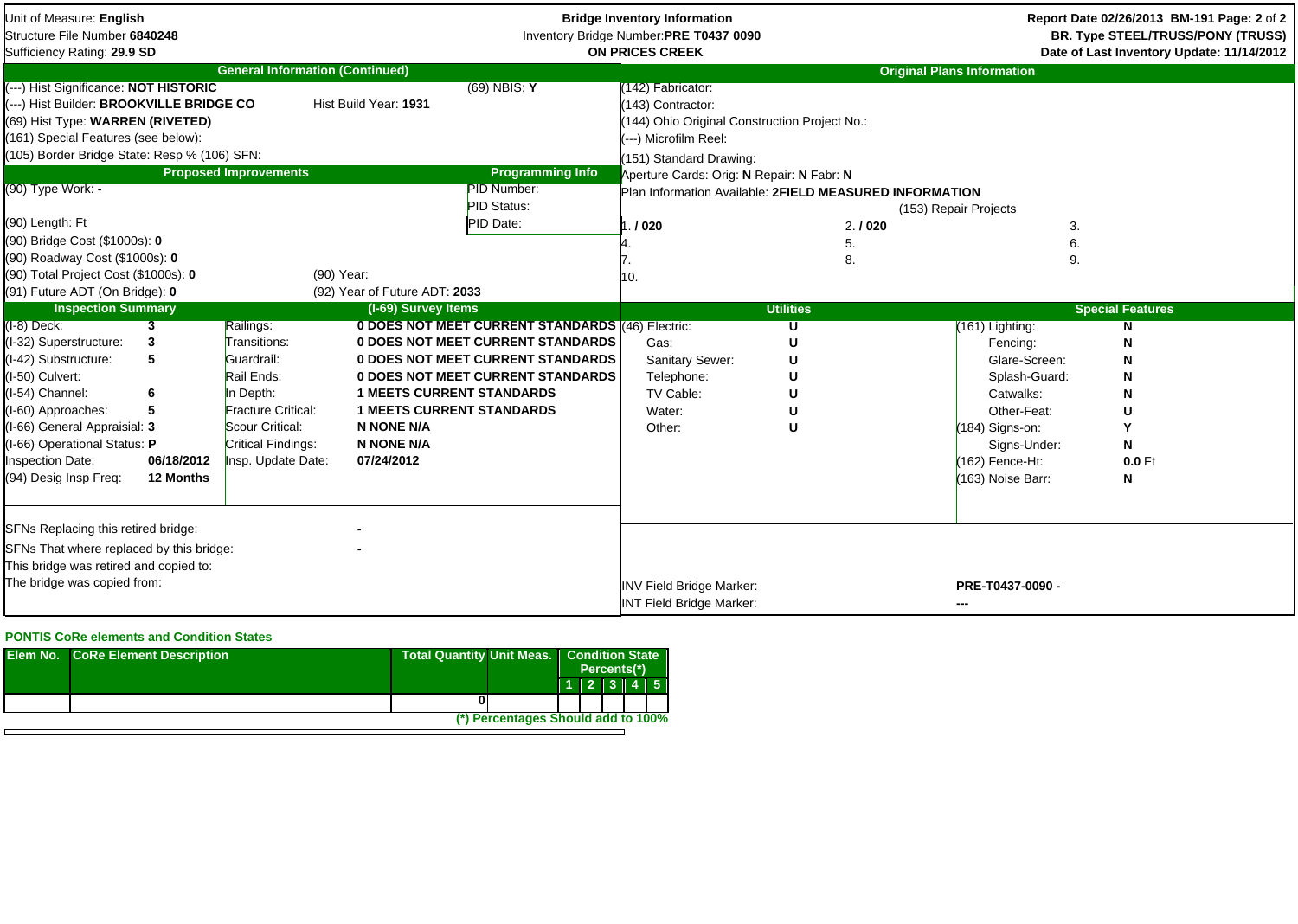| Unit of Measure: English<br>Structure File Number 6840248<br>Sufficiency Rating: 29.9 SD                                                                                                                                                                                             |                                                  |                                                                                                                                                         |                                                                                                                              | <b>Bridge Inventory Information</b><br>Inventory Bridge Number:PRE T0437 0090<br><b>ON PRICES CREEK</b>                                                                              |                                                                                                                                                                                                                                                             | Report Date 02/26/2013 BM-191 Page: 2 of 2<br>BR. Type STEEL/TRUSS/PONY (TRUSS)<br>Date of Last Inventory Update: 11/14/2012 |                                                                                                                                                                      |                                        |
|--------------------------------------------------------------------------------------------------------------------------------------------------------------------------------------------------------------------------------------------------------------------------------------|--------------------------------------------------|---------------------------------------------------------------------------------------------------------------------------------------------------------|------------------------------------------------------------------------------------------------------------------------------|--------------------------------------------------------------------------------------------------------------------------------------------------------------------------------------|-------------------------------------------------------------------------------------------------------------------------------------------------------------------------------------------------------------------------------------------------------------|------------------------------------------------------------------------------------------------------------------------------|----------------------------------------------------------------------------------------------------------------------------------------------------------------------|----------------------------------------|
|                                                                                                                                                                                                                                                                                      |                                                  | <b>General Information (Continued)</b>                                                                                                                  |                                                                                                                              |                                                                                                                                                                                      |                                                                                                                                                                                                                                                             |                                                                                                                              | <b>Original Plans Information</b>                                                                                                                                    |                                        |
| (---) Hist Significance: NOT HISTORIC<br>---) Hist Builder: BROOKVILLE BRIDGE CO<br>(69) Hist Type: WARREN (RIVETED)<br>(161) Special Features (see below):<br>(105) Border Bridge State: Resp % (106) SFN:<br>(90) Type Work: -<br>(90) Length: Ft<br>(90) Bridge Cost (\$1000s): 0 |                                                  | <b>Proposed Improvements</b>                                                                                                                            | Hist Build Year: 1931                                                                                                        | $(69)$ NBIS: Y<br><b>Programming Info</b><br><b>PID Number:</b><br>PID Status:<br>PID Date:                                                                                          | (142) Fabricator:<br>143) Contractor:<br>(144) Ohio Original Construction Project No.:<br>(---) Microfilm Reel:<br>(151) Standard Drawing:<br>Aperture Cards: Orig: N Repair: N Fabr: N<br>Plan Information Available: 2FIELD MEASURED INFORMATION<br>.1020 | 2.1020<br>5.                                                                                                                 | (153) Repair Projects<br>3.<br>6.                                                                                                                                    |                                        |
| (90) Roadway Cost (\$1000s): 0                                                                                                                                                                                                                                                       |                                                  |                                                                                                                                                         |                                                                                                                              |                                                                                                                                                                                      |                                                                                                                                                                                                                                                             |                                                                                                                              |                                                                                                                                                                      |                                        |
| (90) Total Project Cost (\$1000s): 0<br>(91) Future ADT (On Bridge): 0                                                                                                                                                                                                               |                                                  | (90) Year:                                                                                                                                              | (92) Year of Future ADT: 2033                                                                                                |                                                                                                                                                                                      | 10.                                                                                                                                                                                                                                                         | 8.                                                                                                                           | 9.                                                                                                                                                                   |                                        |
| <b>Inspection Summary</b>                                                                                                                                                                                                                                                            |                                                  |                                                                                                                                                         | (I-69) Survey Items                                                                                                          |                                                                                                                                                                                      |                                                                                                                                                                                                                                                             | <b>Utilities</b>                                                                                                             |                                                                                                                                                                      | <b>Special Features</b>                |
| $(I-8)$ Deck:<br>(I-32) Superstructure:<br>(I-42) Substructure:<br>(I-50) Culvert:<br>(I-54) Channel:<br>(I-60) Approaches:<br>(I-66) General Appraisial: 3<br>(I-66) Operational Status: P<br><b>Inspection Date:</b><br>(94) Desig Insp Freq:                                      | 3<br>3<br>5<br>6<br>5<br>06/18/2012<br>12 Months | Railings:<br>Transitions:<br>Guardrail:<br>Rail Ends:<br>In Depth:<br>Fracture Critical:<br>Scour Critical:<br>Critical Findings:<br>Insp. Update Date: | <b>1 MEETS CURRENT STANDARDS</b><br><b>1 MEETS CURRENT STANDARDS</b><br><b>N NONE N/A</b><br><b>N NONE N/A</b><br>07/24/2012 | 0 DOES NOT MEET CURRENT STANDARDS (46) Electric:<br><b>0 DOES NOT MEET CURRENT STANDARDS</b><br><b>0 DOES NOT MEET CURRENT STANDARDS</b><br><b>0 DOES NOT MEET CURRENT STANDARDS</b> | Gas:<br>Sanitary Sewer:<br>Telephone:<br>TV Cable:<br>Water:<br>Other:                                                                                                                                                                                      | U<br>U                                                                                                                       | (161) Lighting:<br>Fencing:<br>Glare-Screen:<br>Splash-Guard:<br>Catwalks:<br>Other-Feat:<br>(184) Signs-on:<br>Signs-Under:<br>(162) Fence-Ht:<br>(163) Noise Barr: | N<br>N<br>U<br>Υ<br>N<br>$0.0$ Ft<br>N |
| SFNs Replacing this retired bridge:<br>SFNs That where replaced by this bridge:<br>This bridge was retired and copied to:<br>The bridge was copied from:                                                                                                                             |                                                  |                                                                                                                                                         |                                                                                                                              | <b>INV Field Bridge Marker:</b><br><b>INT Field Bridge Marker:</b>                                                                                                                   |                                                                                                                                                                                                                                                             | PRE-T0437-0090 -<br>---                                                                                                      |                                                                                                                                                                      |                                        |

## **PONTIS CoRe elements and Condition States**

| <b>Elem No. CoRe Element Description</b> | <b>Total Quantity Unit Meas.</b><br><b>Condition State</b><br>Percents <sup>(*)</sup> |  |  |  |
|------------------------------------------|---------------------------------------------------------------------------------------|--|--|--|
|                                          | $1$   2   3   4   5                                                                   |  |  |  |
|                                          |                                                                                       |  |  |  |
|                                          | (*) Percentages Should add to 100%                                                    |  |  |  |
|                                          |                                                                                       |  |  |  |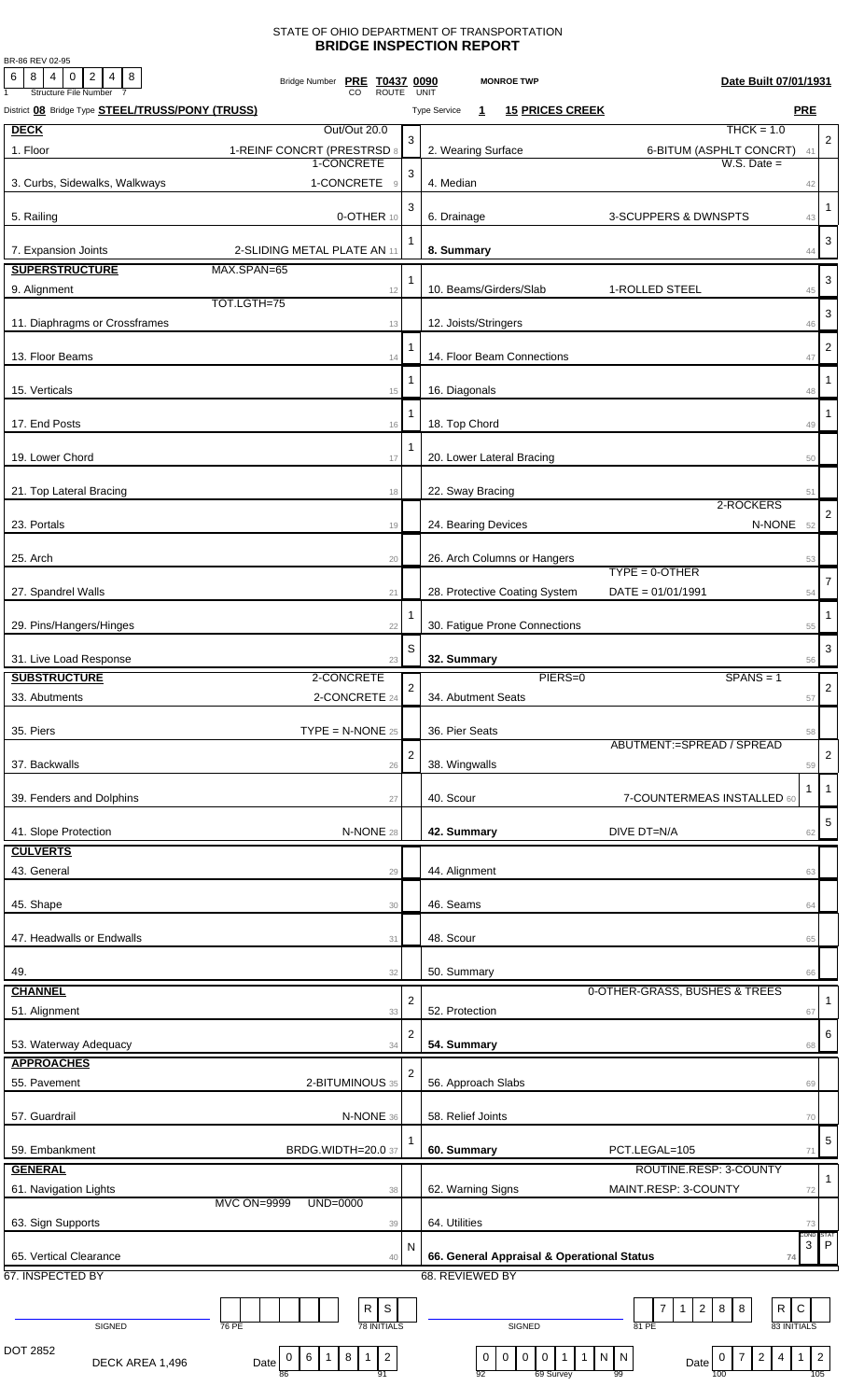## STATE OF OHIO DEPARTMENT OF TRANSPORTATION **BRIDGE INSPECTION REPORT**

BR-86 REV 02-95

| 6<br>$8 4 0$<br>$2 \mid 4 \mid 8$<br><b>Structure File Number</b> | Bridge Number PRE T0437 0090<br><b>ROUTE</b>                                    |                | Date Built 07/01/1931<br><b>MONROE TWP</b><br>UNIT                                                                                                                             |                                                            |
|-------------------------------------------------------------------|---------------------------------------------------------------------------------|----------------|--------------------------------------------------------------------------------------------------------------------------------------------------------------------------------|------------------------------------------------------------|
| District 08 Bridge Type <b>STEEL/TRUSS/PONY (TRUSS)</b>           |                                                                                 |                | <b>PRE</b><br><b>15 PRICES CREEK</b><br><b>Type Service</b><br>1                                                                                                               |                                                            |
| <b>DECK</b>                                                       | Out/Out 20.0                                                                    |                | $THCK = 1.0$                                                                                                                                                                   |                                                            |
| 1. Floor                                                          | 1-REINF CONCRT (PRESTRSD 8                                                      | 3              | 2. Wearing Surface<br>6-BITUM (ASPHLT CONCRT)                                                                                                                                  | $\overline{2}$<br>41                                       |
|                                                                   | 1-CONCRETE                                                                      | 3              | $W.S.$ Date $=$                                                                                                                                                                |                                                            |
| 3. Curbs, Sidewalks, Walkways                                     | 1-CONCRETE<br>$\overline{9}$                                                    |                | 4. Median                                                                                                                                                                      | 42                                                         |
|                                                                   |                                                                                 | 3              |                                                                                                                                                                                | $\mathbf{1}$                                               |
| 5. Railing                                                        | 0-OTHER 10                                                                      |                | 6. Drainage<br>3-SCUPPERS & DWNSPTS                                                                                                                                            | 43                                                         |
| 7. Expansion Joints                                               | 2-SLIDING METAL PLATE AN 11                                                     | 1              | 8. Summary                                                                                                                                                                     | 3<br>44                                                    |
| <b>SUPERSTRUCTURE</b>                                             | MAX.SPAN=65                                                                     |                |                                                                                                                                                                                |                                                            |
| 9. Alignment                                                      | 12                                                                              | 1              | 10. Beams/Girders/Slab<br>1-ROLLED STEEL                                                                                                                                       | 3<br>45                                                    |
|                                                                   | TOT.LGTH=75                                                                     |                |                                                                                                                                                                                |                                                            |
| 11. Diaphragms or Crossframes                                     | 13                                                                              |                | 12. Joists/Stringers                                                                                                                                                           | 3<br>46                                                    |
|                                                                   |                                                                                 |                |                                                                                                                                                                                | $\overline{2}$                                             |
| 13. Floor Beams                                                   | 14                                                                              |                | 14. Floor Beam Connections                                                                                                                                                     | 47                                                         |
|                                                                   |                                                                                 |                |                                                                                                                                                                                | -1                                                         |
| 15. Verticals                                                     | 15                                                                              |                | 16. Diagonals                                                                                                                                                                  | 48                                                         |
| 17. End Posts                                                     | 16                                                                              | 1              | 18. Top Chord                                                                                                                                                                  | -1<br>49                                                   |
|                                                                   |                                                                                 | 1              |                                                                                                                                                                                |                                                            |
| 19. Lower Chord                                                   | 17                                                                              |                | 20. Lower Lateral Bracing                                                                                                                                                      | 50                                                         |
|                                                                   |                                                                                 |                |                                                                                                                                                                                |                                                            |
| 21. Top Lateral Bracing                                           | 18                                                                              |                | 22. Sway Bracing<br>2-ROCKERS                                                                                                                                                  | 51                                                         |
| 23. Portals                                                       | 19                                                                              |                | 24. Bearing Devices<br>N-NONE 52                                                                                                                                               | $\overline{2}$                                             |
|                                                                   |                                                                                 |                |                                                                                                                                                                                |                                                            |
| 25. Arch                                                          | 20                                                                              |                | 26. Arch Columns or Hangers                                                                                                                                                    | 53                                                         |
|                                                                   |                                                                                 |                | $TYPE = 0 - OTHER$                                                                                                                                                             | $\overline{7}$                                             |
| 27. Spandrel Walls                                                | 21                                                                              |                | 28. Protective Coating System<br>$DATA = 01/01/1991$                                                                                                                           | 54                                                         |
|                                                                   |                                                                                 |                |                                                                                                                                                                                | $\mathbf{1}$                                               |
| 29. Pins/Hangers/Hinges                                           | 22                                                                              |                | 30. Fatigue Prone Connections                                                                                                                                                  | 55                                                         |
| 31. Live Load Response                                            | 23                                                                              | S              | 32. Summary                                                                                                                                                                    | 3<br>56                                                    |
| <b>SUBSTRUCTURE</b>                                               | 2-CONCRETE                                                                      |                | PIERS=0<br>$SPANS = 1$                                                                                                                                                         |                                                            |
| 33. Abutments                                                     | 2-CONCRETE 24                                                                   | $\overline{a}$ | 34. Abutment Seats                                                                                                                                                             | $\sqrt{2}$<br>57                                           |
|                                                                   |                                                                                 |                |                                                                                                                                                                                |                                                            |
| 35. Piers                                                         | $\mathsf{TYPE} = \mathsf{N}\text{-}\mathsf{NONE}$ 25                            |                | 36. Pier Seats                                                                                                                                                                 | 58                                                         |
|                                                                   |                                                                                 | $\overline{2}$ | ABUTMENT:=SPREAD / SPREAD                                                                                                                                                      | $\overline{2}$                                             |
| 37. Backwalls                                                     | 26                                                                              |                | 38. Wingwalls                                                                                                                                                                  | 59                                                         |
|                                                                   |                                                                                 |                |                                                                                                                                                                                | $\overline{1}$<br>-1                                       |
| 39. Fenders and Dolphins                                          | 27                                                                              |                | 40. Scour<br>7-COUNTERMEAS INSTALLED 60                                                                                                                                        |                                                            |
| 41. Slope Protection                                              | N-NONE 28                                                                       |                | 42. Summary<br>DIVE DT=N/A                                                                                                                                                     | 5<br>62                                                    |
| <b>CULVERTS</b>                                                   |                                                                                 |                |                                                                                                                                                                                |                                                            |
| 43. General                                                       | 29                                                                              |                | 44. Alignment                                                                                                                                                                  | 63                                                         |
|                                                                   |                                                                                 |                |                                                                                                                                                                                |                                                            |
| 45. Shape                                                         | 30                                                                              |                | 46. Seams                                                                                                                                                                      | 64                                                         |
|                                                                   |                                                                                 |                |                                                                                                                                                                                |                                                            |
| 47. Headwalls or Endwalls                                         | 31                                                                              |                | 48. Scour                                                                                                                                                                      | 65                                                         |
| 49.                                                               | 32                                                                              |                | 50. Summary                                                                                                                                                                    | 66                                                         |
| <b>CHANNEL</b>                                                    |                                                                                 |                | 0-OTHER-GRASS, BUSHES & TREES                                                                                                                                                  |                                                            |
| 51. Alignment                                                     | 33                                                                              | $\overline{2}$ | 52. Protection                                                                                                                                                                 | 1<br>67                                                    |
|                                                                   |                                                                                 | 2              |                                                                                                                                                                                | 6                                                          |
| 53. Waterway Adequacy                                             | 34                                                                              |                | 54. Summary                                                                                                                                                                    | 68                                                         |
| <b>APPROACHES</b>                                                 |                                                                                 | 2              |                                                                                                                                                                                |                                                            |
| 55. Pavement                                                      | 2-BITUMINOUS 35                                                                 |                | 56. Approach Slabs                                                                                                                                                             | 69                                                         |
|                                                                   |                                                                                 |                |                                                                                                                                                                                |                                                            |
| 57. Guardrail                                                     | N-NONE 36                                                                       |                | 58. Relief Joints                                                                                                                                                              | 70                                                         |
| 59. Embankment                                                    | BRDG.WIDTH=20.0 37                                                              |                | 60. Summary<br>PCT.LEGAL=105                                                                                                                                                   | 5                                                          |
| <b>GENERAL</b>                                                    |                                                                                 |                | ROUTINE.RESP: 3-COUNTY                                                                                                                                                         | 71                                                         |
| 61. Navigation Lights                                             |                                                                                 |                | 62. Warning Signs<br>MAINT.RESP: 3-COUNTY                                                                                                                                      | $\mathbf{1}$                                               |
|                                                                   | 38<br><b>MVC ON=9999</b><br>UND=0000                                            |                |                                                                                                                                                                                | 72                                                         |
| 63. Sign Supports                                                 | 39                                                                              |                | 64. Utilities                                                                                                                                                                  | 73                                                         |
|                                                                   |                                                                                 | N              |                                                                                                                                                                                | COND:<br>STAT<br>$\ensuremath{\mathsf{3}}$<br>$\mathsf{P}$ |
| 65. Vertical Clearance                                            | 40                                                                              |                | 66. General Appraisal & Operational Status<br>74                                                                                                                               |                                                            |
| 67. INSPECTED BY                                                  |                                                                                 |                | 68. REVIEWED BY                                                                                                                                                                |                                                            |
|                                                                   |                                                                                 |                |                                                                                                                                                                                |                                                            |
| SIGNED                                                            | S<br>R<br><b>78 INITIALS</b><br>76 PE                                           |                | R<br>$\mathsf C$<br>$\overline{7}$<br>$2 \mid 8$<br>8<br>$\mathbf{1}$<br>83 INITIALS<br>SIGNED<br>81 PE                                                                        |                                                            |
|                                                                   |                                                                                 |                |                                                                                                                                                                                |                                                            |
| DOT 2852<br>DECK AREA 1,496                                       | $\overline{c}$<br>$8\phantom{1}$<br>$\mathbf{1}$<br>6<br>0<br>$\vert$ 1<br>Date |                | $\overline{4}$<br>$\mathbf 0$<br>$\boldsymbol{0}$<br>$\overline{2}$<br>$\bf{0}$<br>$\overline{0}$<br>$\overline{1}$<br>$\mathbf{1}$<br>N   N<br>$\mathbf{1}$<br>7<br>0<br>Date | $\overline{2}$                                             |
|                                                                   | 91<br>86                                                                        |                | 92<br>69 Survey<br>99<br>100                                                                                                                                                   | 105                                                        |